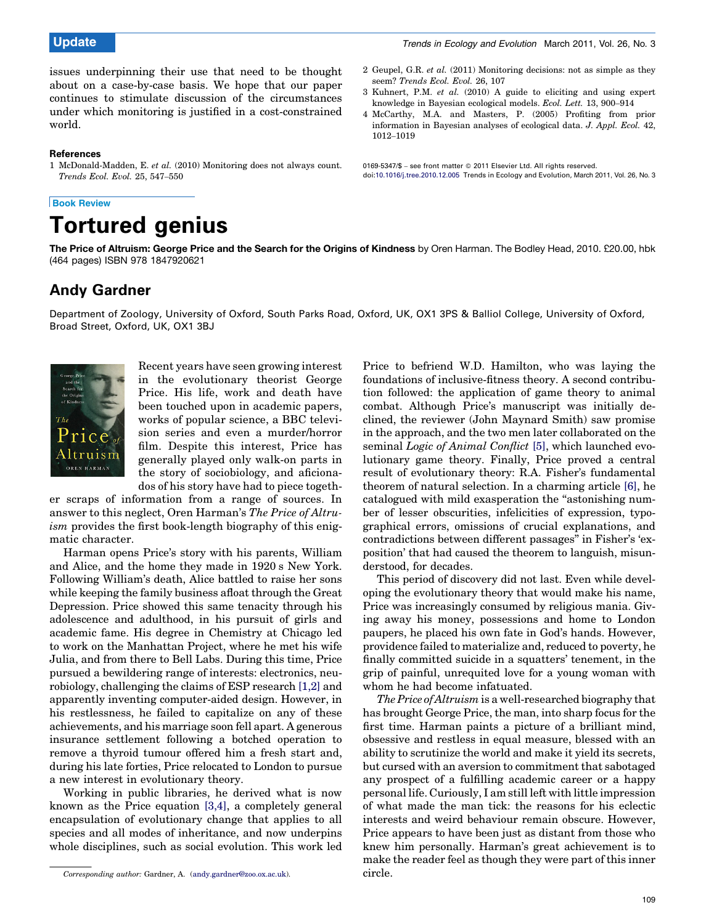issues underpinning their use that need to be thought about on a case-by-case basis. We hope that our paper continues to stimulate discussion of the circumstances under which monitoring is justified in a cost-constrained world.

### References

1 McDonald-Madden, E. et al. (2010) Monitoring does not always count. Trends Ecol. Evol. 25, 547–550

# Book Review



- 2 Geupel, G.R. et al. (2011) Monitoring decisions: not as simple as they seem? Trends Ecol. Evol. 26, 107
- 3 Kuhnert, P.M. et al. (2010) A guide to eliciting and using expert knowledge in Bayesian ecological models. Ecol. Lett. 13, 900–914
- 4 McCarthy, M.A. and Masters, P. (2005) Profiting from prior information in Bayesian analyses of ecological data. J. Appl. Ecol. 42, 1012–1019

0169-5347/\$ - see front matter © 2011 Elsevier Ltd. All rights reserved. doi[:10.1016/j.tree.2010.12.005](http://dx.doi.org/10.1016/j.tree.2010.12.005) Trends in Ecology and Evolution, March 2011, Vol. 26, No. 3

The Price of Altruism: George Price and the Search for the Origins of Kindness by Oren Harman. The Bodley Head, 2010. £20.00, hbk (464 pages) ISBN 978 1847920621

# Andy Gardner

Department of Zoology, University of Oxford, South Parks Road, Oxford, UK, OX1 3PS & Balliol College, University of Oxford, Broad Street, Oxford, UK, OX1 3BJ



Recent years have seen growing interest in the evolutionary theorist George Price. His life, work and death have been touched upon in academic papers, works of popular science, a BBC television series and even a murder/horror film. Despite this interest, Price has generally played only walk-on parts in the story of sociobiology, and aficionados of his story have had to piece togeth-

er scraps of information from a range of sources. In answer to this neglect, Oren Harman's The Price of Altruism provides the first book-length biography of this enigmatic character.

Harman opens Price's story with his parents, William and Alice, and the home they made in 1920 s New York. Following William's death, Alice battled to raise her sons while keeping the family business afloat through the Great Depression. Price showed this same tenacity through his adolescence and adulthood, in his pursuit of girls and academic fame. His degree in Chemistry at Chicago led to work on the Manhattan Project, where he met his wife Julia, and from there to Bell Labs. During this time, Price pursued a bewildering range of interests: electronics, neurobiology, challenging the claims of ESP research [1,2] and apparently inventing computer-aided design. However, in his restlessness, he failed to capitalize on any of these achievements, and his marriage soon fell apart. A generous insurance settlement following a botched operation to remove a thyroid tumour offered him a fresh start and, during his late forties, Price relocated to London to pursue a new interest in evolutionary theory.

Working in public libraries, he derived what is now known as the Price equation [3,4], a completely general encapsulation of evolutionary change that applies to all species and all modes of inheritance, and now underpins whole disciplines, such as social evolution. This work led Price to befriend W.D. Hamilton, who was laying the foundations of inclusive-fitness theory. A second contribution followed: the application of game theory to animal combat. Although Price's manuscript was initially declined, the reviewer (John Maynard Smith) saw promise in the approach, and the two men later collaborated on the seminal *Logic of Animal Conflict* [\[5\]](#page-1-0), which launched evolutionary game theory. Finally, Price proved a central result of evolutionary theory: R.A. Fisher's fundamental theorem of natural selection. In a charming article [\[6\],](#page-1-0) he catalogued with mild exasperation the "astonishing number of lesser obscurities, infelicities of expression, typographical errors, omissions of crucial explanations, and contradictions between different passages'' in Fisher's 'exposition' that had caused the theorem to languish, misunderstood, for decades.

This period of discovery did not last. Even while developing the evolutionary theory that would make his name, Price was increasingly consumed by religious mania. Giving away his money, possessions and home to London paupers, he placed his own fate in God's hands. However, providence failed to materialize and, reduced to poverty, he finally committed suicide in a squatters' tenement, in the grip of painful, unrequited love for a young woman with whom he had become infatuated.

The Price of Altruism is a well-researched biography that has brought George Price, the man, into sharp focus for the first time. Harman paints a picture of a brilliant mind, obsessive and restless in equal measure, blessed with an ability to scrutinize the world and make it yield its secrets, but cursed with an aversion to commitment that sabotaged any prospect of a fulfilling academic career or a happy personal life. Curiously, I am still left with little impression of what made the man tick: the reasons for his eclectic interests and weird behaviour remain obscure. However, Price appears to have been just as distant from those who knew him personally. Harman's great achievement is to make the reader feel as though they were part of this inner circle.

Corresponding author: Gardner, A. [\(andy.gardner@zoo.ox.ac.uk\)](mailto:andy.gardner@zoo.ox.ac.uk).